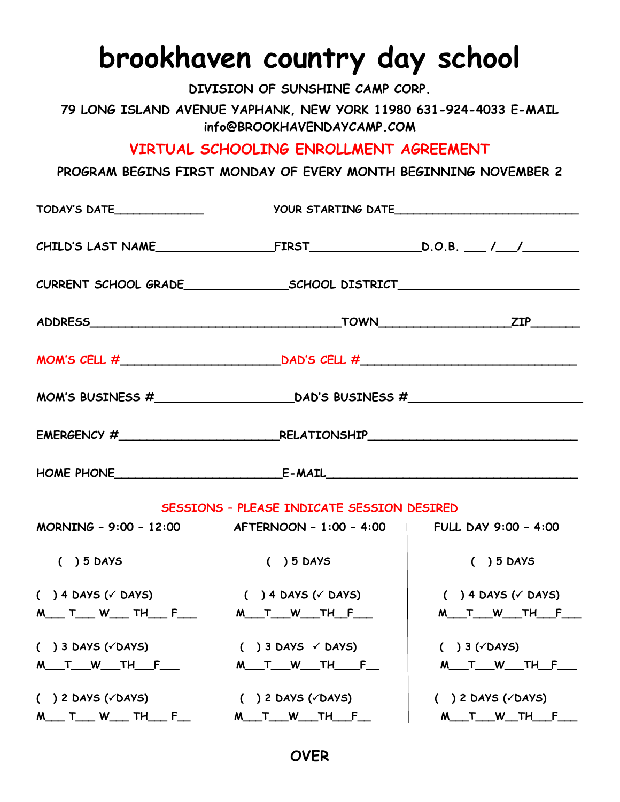## **brookhaven country day school**

**DIVISION OF SUNSHINE CAMP CORP.**

**79 LONG ISLAND AVENUE YAPHANK, NEW YORK 11980 631-924-4033 E-MAIL info@BROOKHAVENDAYCAMP.COM**

**VIRTUAL SCHOOLING ENROLLMENT AGREEMENT**

**PROGRAM BEGINS FIRST MONDAY OF EVERY MONTH BEGINNING NOVEMBER 2**

| TODAY'S DATE________________               |                                                                         |                                   |  |  |  |
|--------------------------------------------|-------------------------------------------------------------------------|-----------------------------------|--|--|--|
|                                            |                                                                         |                                   |  |  |  |
|                                            |                                                                         |                                   |  |  |  |
|                                            |                                                                         |                                   |  |  |  |
|                                            | MOM'S CELL $\#$ DAD'S CELL $\#$                                         |                                   |  |  |  |
|                                            |                                                                         |                                   |  |  |  |
|                                            |                                                                         |                                   |  |  |  |
|                                            |                                                                         |                                   |  |  |  |
| SESSIONS - PLEASE INDICATE SESSION DESIRED |                                                                         |                                   |  |  |  |
|                                            | MORNING - 9:00 - 12:00   AFTERNOON - 1:00 - 4:00   FULL DAY 9:00 - 4:00 |                                   |  |  |  |
| $( ) 5$ DAYS                               | $( ) 5$ DAYS                                                            | $( ) 5$ DAYS                      |  |  |  |
| $( ) 4$ DAYS ( $\checkmark$ DAYS)          | $($ ) 4 DAYS ( $\checkmark$ DAYS)                                       | $( ) 4$ DAYS ( $\checkmark$ DAYS) |  |  |  |
| M___ T___ W___ TH___ F___                  | M___T___W____TH__F____                                                  | M___T___W____TH___F___            |  |  |  |
| $( ) 3$ DAYS ( $\checkmark$ DAYS)          | $( ) 3$ DAYS $\checkmark$ DAYS)                                         | $( ) 3 ( \sqrt{ } DAYS)$          |  |  |  |
| M___ T___ W____ TH___ F____                | M___T___W____TH_____F___                                                | <u>M____T____W_____TH___F____</u> |  |  |  |
| $( ) 2$ DAYS ( $\checkmark$ DAYS)          | $( ) 2$ DAYS ( $\checkmark$ DAYS)<br>$( ) 2$ DAYS ( $\checkmark$ DAYS)  |                                   |  |  |  |
| M___ T___ W___ TH___ F__                   | M____T____W_____TH____F___                                              | M___T___W___TH___F___             |  |  |  |